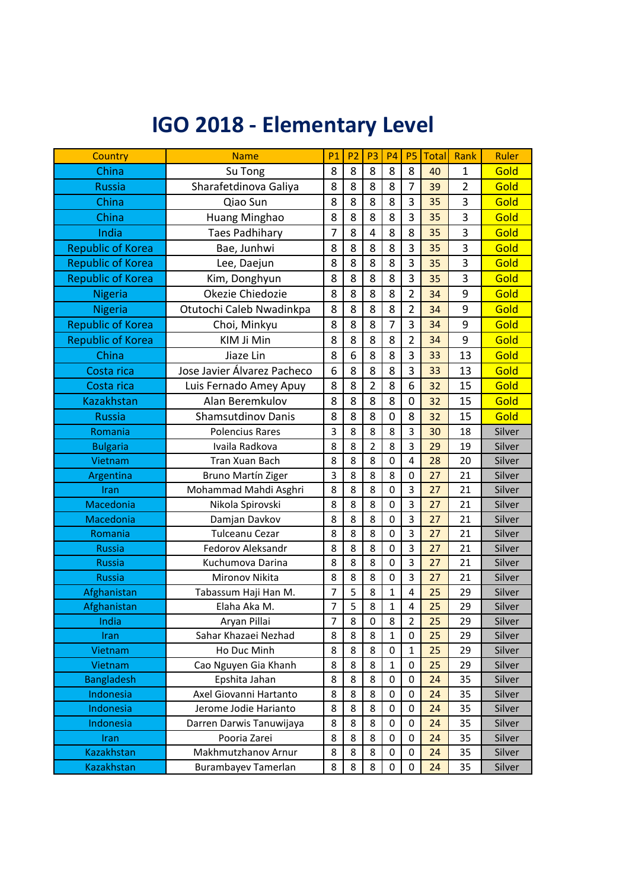## **IGO 2018 - Elementary Level**

| Country                                                                  | <b>Name</b>                                                                                                     | <b>P1</b>             | P <sub>2</sub>        | P <sub>3</sub>        | <b>P4</b>             | P <sub>5</sub>          | <b>Total</b>               | Rank                       | Ruler                                          |
|--------------------------------------------------------------------------|-----------------------------------------------------------------------------------------------------------------|-----------------------|-----------------------|-----------------------|-----------------------|-------------------------|----------------------------|----------------------------|------------------------------------------------|
| China                                                                    | Su Tong                                                                                                         | 8                     | 8                     | 8                     | 8                     | 8                       | 40                         | 1                          | Gold                                           |
| <b>Russia</b>                                                            | Sharafetdinova Galiya                                                                                           | 8                     | 8                     | 8                     | 8                     | 7                       | 39                         | $\overline{2}$             | Gold                                           |
| China                                                                    | Qiao Sun                                                                                                        | 8                     | 8                     | 8                     | 8                     | 3                       | 35                         | 3                          | Gold                                           |
| China                                                                    | Huang Minghao                                                                                                   | 8                     | 8                     | 8                     | 8                     | 3                       | 35                         | 3                          | Gold                                           |
| India                                                                    | <b>Taes Padhihary</b>                                                                                           | $\overline{7}$        | 8                     | 4                     | 8                     | 8                       | 35                         | 3                          | Gold                                           |
| <b>Republic of Korea</b>                                                 | Bae, Junhwi                                                                                                     | 8                     | 8                     | 8                     | 8                     | 3                       | 35                         | 3                          | Gold                                           |
| <b>Republic of Korea</b>                                                 | Lee, Daejun                                                                                                     | 8                     | 8                     | 8                     | 8                     | 3                       | 35                         | 3                          | Gold                                           |
| <b>Republic of Korea</b>                                                 | Kim, Donghyun                                                                                                   | 8                     | 8                     | 8                     | 8                     | 3                       | 35                         | 3                          | Gold                                           |
| <b>Nigeria</b>                                                           | Okezie Chiedozie                                                                                                | 8                     | 8                     | 8                     | 8                     | $\overline{2}$          | 34                         | 9                          | Gold                                           |
| <b>Nigeria</b>                                                           | Otutochi Caleb Nwadinkpa                                                                                        | 8                     | 8                     | 8                     | 8                     | $\overline{2}$          | 34                         | 9                          | Gold                                           |
| <b>Republic of Korea</b>                                                 | Choi, Minkyu                                                                                                    | 8                     | 8                     | 8                     | 7                     | 3                       | 34                         | 9                          | Gold                                           |
| <b>Republic of Korea</b>                                                 | KIM Ji Min                                                                                                      | 8                     | 8                     | 8                     | 8                     | $\overline{2}$          | 34                         | 9                          | Gold                                           |
| China                                                                    | Jiaze Lin                                                                                                       | 8                     | 6                     | 8                     | 8                     | 3                       | 33                         | 13                         | Gold                                           |
| Costa rica                                                               | Jose Javier Álvarez Pacheco                                                                                     | 6                     | 8                     | 8                     | 8                     | 3                       | 33                         | 13                         | Gold                                           |
| Costa rica                                                               | Luis Fernado Amey Apuy                                                                                          | 8                     | 8                     | $\overline{2}$        | 8                     | 6                       | 32                         | 15                         | Gold                                           |
| <b>Kazakhstan</b>                                                        | Alan Beremkulov                                                                                                 | 8                     | 8                     | 8                     | 8                     | 0                       | 32                         | 15                         | Gold                                           |
| <b>Russia</b>                                                            | <b>Shamsutdinov Danis</b>                                                                                       | 8                     | 8                     | 8                     | 0                     | 8                       | 32                         | 15                         | Gold                                           |
| Romania                                                                  | <b>Polencius Rares</b>                                                                                          | 3                     | 8                     | 8                     | 8                     | 3                       | 30                         | 18                         | Silver                                         |
| <b>Bulgaria</b>                                                          | Ivaila Radkova                                                                                                  | 8                     | 8                     | $\overline{2}$        | 8                     | 3                       | 29                         | 19                         | Silver                                         |
| Vietnam                                                                  | Tran Xuan Bach                                                                                                  | 8                     | 8                     | 8                     | 0                     | $\overline{4}$          | 28                         | 20                         | Silver                                         |
| Argentina                                                                | <b>Bruno Martín Ziger</b>                                                                                       | 3                     | 8                     | 8                     | 8                     | $\mathbf 0$             | 27                         | 21                         | Silver                                         |
| Iran                                                                     | Mohammad Mahdi Asghri                                                                                           | 8                     | 8                     | 8                     | 0                     | 3                       | 27                         | 21                         | Silver                                         |
| Macedonia                                                                | Nikola Spirovski                                                                                                | 8                     | 8                     | 8                     | 0                     | 3                       | 27                         | 21                         | Silver                                         |
| Macedonia                                                                | Damjan Davkov                                                                                                   | 8                     | 8                     | 8                     | 0                     | 3                       | 27                         | 21                         | Silver                                         |
| Romania                                                                  | Tulceanu Cezar                                                                                                  | 8                     | 8                     | 8                     | $\mathbf 0$           | 3                       | 27                         | 21                         | Silver                                         |
| <b>Russia</b>                                                            | Fedorov Aleksandr                                                                                               | 8                     | 8                     | 8                     | 0                     | 3                       | 27                         | 21                         | Silver                                         |
| <b>Russia</b>                                                            | Kuchumova Darina                                                                                                | 8                     | 8                     | 8                     | 0                     | $\overline{\mathbf{3}}$ | 27                         | 21                         | Silver                                         |
| <b>Russia</b>                                                            | Mironov Nikita                                                                                                  | 8                     | 8                     | 8                     | $\boldsymbol{0}$      | 3                       | 27                         | 21                         | Silver                                         |
| Afghanistan                                                              | Tabassum Haji Han M.                                                                                            | $\overline{7}$        | 5                     | 8                     | $\mathbf{1}$          | 4                       | 25                         | 29                         | Silver                                         |
| Afghanistan                                                              | Elaha Aka M.                                                                                                    | $\overline{7}$        | 5                     | 8                     | $\mathbf{1}$          | $\overline{\mathbf{4}}$ | 25                         | 29                         | Silver                                         |
| India                                                                    | Aryan Pillai                                                                                                    | $\overline{7}$        | $\overline{8}$        | $\pmb{0}$             | 8                     | $\overline{2}$          | 25                         | 29                         | Silver                                         |
| Iran                                                                     | Sahar Khazaei Nezhad                                                                                            | 8                     | 8                     | 8                     | $\mathbf{1}$          | 0                       | 25                         | 29                         | Silver                                         |
| Vietnam                                                                  | Ho Duc Minh                                                                                                     | 8                     | 8                     | 8                     | 0                     | $\mathbf{1}$            | 25                         | 29                         | Silver                                         |
| Vietnam                                                                  | Cao Nguyen Gia Khanh                                                                                            | 8                     | 8                     | 8                     | $\mathbf{1}$          | 0                       | 25                         | 29                         | Silver                                         |
| <b>Bangladesh</b>                                                        | Epshita Jahan                                                                                                   | 8                     | 8                     | 8                     | 0                     | 0                       | 24                         | 35                         | Silver                                         |
| Indonesia                                                                | Axel Giovanni Hartanto                                                                                          | 8                     | 8                     | 8                     | 0                     | 0                       | 24                         | 35                         | Silver                                         |
|                                                                          |                                                                                                                 |                       |                       |                       |                       |                         |                            |                            |                                                |
|                                                                          |                                                                                                                 |                       |                       |                       |                       |                         |                            |                            |                                                |
|                                                                          |                                                                                                                 |                       |                       |                       |                       |                         |                            |                            |                                                |
|                                                                          |                                                                                                                 |                       |                       |                       |                       |                         |                            |                            |                                                |
| Indonesia<br>Indonesia<br>Iran<br><b>Kazakhstan</b><br><b>Kazakhstan</b> | Jerome Jodie Harianto<br>Darren Darwis Tanuwijaya<br>Pooria Zarei<br>Makhmutzhanov Arnur<br>Burambayev Tamerlan | 8<br>8<br>8<br>8<br>8 | 8<br>8<br>8<br>8<br>8 | 8<br>8<br>8<br>8<br>8 | 0<br>0<br>0<br>0<br>0 | 0<br>0<br>0<br>0<br>0   | 24<br>24<br>24<br>24<br>24 | 35<br>35<br>35<br>35<br>35 | Silver<br>Silver<br>Silver<br>Silver<br>Silver |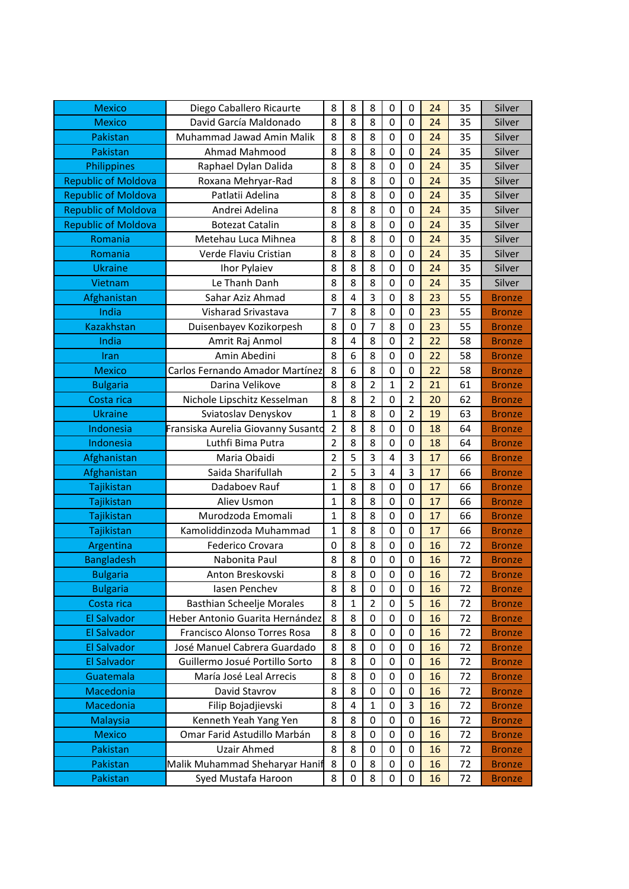| <b>Mexico</b>              | Diego Caballero Ricaurte           | 8                | 8 | 8                | 0                | 0                | 24 | 35 | Silver        |
|----------------------------|------------------------------------|------------------|---|------------------|------------------|------------------|----|----|---------------|
| <b>Mexico</b>              | David García Maldonado             | 8                | 8 | 8                | 0                | $\mathbf 0$      | 24 | 35 | Silver        |
| Pakistan                   | Muhammad Jawad Amin Malik          | 8                | 8 | 8                | 0                | 0                | 24 | 35 | Silver        |
| Pakistan                   | Ahmad Mahmood                      | 8                | 8 | 8                | 0                | $\boldsymbol{0}$ | 24 | 35 | Silver        |
| Philippines                | Raphael Dylan Dalida               | 8                | 8 | 8                | 0                | $\mathbf 0$      | 24 | 35 | Silver        |
| <b>Republic of Moldova</b> | Roxana Mehryar-Rad                 | 8                | 8 | 8                | 0                | $\mathbf 0$      | 24 | 35 | Silver        |
| <b>Republic of Moldova</b> | Patlatii Adelina                   | 8                | 8 | 8                | 0                | $\boldsymbol{0}$ | 24 | 35 | Silver        |
| <b>Republic of Moldova</b> | Andrei Adelina                     | 8                | 8 | 8                | 0                | $\mathbf 0$      | 24 | 35 | Silver        |
| <b>Republic of Moldova</b> | <b>Botezat Catalin</b>             | 8                | 8 | 8                | 0                | $\boldsymbol{0}$ | 24 | 35 | Silver        |
| Romania                    | Metehau Luca Mihnea                | 8                | 8 | 8                | 0                | $\mathbf 0$      | 24 | 35 | Silver        |
| Romania                    | Verde Flaviu Cristian              | 8                | 8 | 8                | 0                | $\mathbf 0$      | 24 | 35 | Silver        |
| <b>Ukraine</b>             | Ihor Pylaiev                       | 8                | 8 | 8                | 0                | $\mathbf 0$      | 24 | 35 | Silver        |
| Vietnam                    | Le Thanh Danh                      | 8                | 8 | 8                | 0                | $\mathbf 0$      | 24 | 35 | Silver        |
| Afghanistan                | Sahar Aziz Ahmad                   | 8                | 4 | 3                | 0                | 8                | 23 | 55 | <b>Bronze</b> |
| India                      | Visharad Srivastava                | 7                | 8 | 8                | 0                | $\mathbf 0$      | 23 | 55 | <b>Bronze</b> |
| <b>Kazakhstan</b>          | Duisenbayev Kozikorpesh            | 8                | 0 | 7                | 8                | $\mathbf 0$      | 23 | 55 | <b>Bronze</b> |
| India                      | Amrit Raj Anmol                    | 8                | 4 | 8                | 0                | $\overline{2}$   | 22 | 58 | <b>Bronze</b> |
| Iran                       | Amin Abedini                       | 8                | 6 | 8                | 0                | $\mathbf 0$      | 22 | 58 | <b>Bronze</b> |
| <b>Mexico</b>              | Carlos Fernando Amador Martínez    | 8                | 6 | 8                | 0                | $\mathbf 0$      | 22 | 58 | <b>Bronze</b> |
| <b>Bulgaria</b>            | Darina Velikove                    | 8                | 8 | $\overline{2}$   | $\mathbf{1}$     | $\overline{2}$   | 21 | 61 | <b>Bronze</b> |
| Costa rica                 | Nichole Lipschitz Kesselman        | 8                | 8 | $\overline{2}$   | 0                | $\overline{2}$   | 20 | 62 | <b>Bronze</b> |
| <b>Ukraine</b>             | Sviatoslav Denyskov                | $\mathbf 1$      | 8 | 8                | 0                | $\overline{2}$   | 19 | 63 | <b>Bronze</b> |
| Indonesia                  | Fransiska Aurelia Giovanny Susanto | 2                | 8 | 8                | 0                | $\mathbf 0$      | 18 | 64 | <b>Bronze</b> |
| Indonesia                  | Luthfi Bima Putra                  | $\overline{2}$   | 8 | 8                | 0                | $\boldsymbol{0}$ | 18 | 64 | <b>Bronze</b> |
| Afghanistan                | Maria Obaidi                       | $\overline{2}$   | 5 | 3                | 4                | 3                | 17 | 66 | <b>Bronze</b> |
| Afghanistan                | Saida Sharifullah                  | 2                | 5 | 3                | 4                | 3                | 17 | 66 | <b>Bronze</b> |
| Tajikistan                 | Dadaboev Rauf                      | 1                | 8 | 8                | 0                | $\boldsymbol{0}$ | 17 | 66 | <b>Bronze</b> |
| Tajikistan                 | Aliev Usmon                        | 1                | 8 | 8                | 0                | $\mathbf 0$      | 17 | 66 | <b>Bronze</b> |
| Tajikistan                 | Murodzoda Emomali                  | 1                | 8 | 8                | 0                | $\boldsymbol{0}$ | 17 | 66 | <b>Bronze</b> |
| Tajikistan                 | Kamoliddinzoda Muhammad            | 1                | 8 | 8                | 0                | $\mathbf 0$      | 17 | 66 | <b>Bronze</b> |
| Argentina                  | Federico Crovara                   | $\boldsymbol{0}$ | 8 | 8                | 0                | $\boldsymbol{0}$ | 16 | 72 | <b>Bronze</b> |
| <b>Bangladesh</b>          | Nabonita Paul                      | 8                | 8 | $\boldsymbol{0}$ | 0                | $\boldsymbol{0}$ | 16 | 72 | <b>Bronze</b> |
| <b>Bulgaria</b>            | Anton Breskovski                   | 8                | 8 | 0                | 0                | 0                | 16 | 72 | <b>Bronze</b> |
| <b>Bulgaria</b>            | lasen Penchev                      | 8                | 8 | 0                | 0                | 0                | 16 | 72 | <b>Bronze</b> |
| Costa rica                 | <b>Basthian Scheelje Morales</b>   | 8                | 1 | $\overline{2}$   | $\boldsymbol{0}$ | 5                | 16 | 72 | <b>Bronze</b> |
| <b>El Salvador</b>         | Heber Antonio Guarita Hernández    | 8                | 8 | 0                | 0                | 0                | 16 | 72 | <b>Bronze</b> |
| <b>El Salvador</b>         | Francisco Alonso Torres Rosa       | 8                | 8 | 0                | 0                | 0                | 16 | 72 | <b>Bronze</b> |
| El Salvador                | José Manuel Cabrera Guardado       | 8                | 8 | $\mathbf 0$      | 0                | 0                | 16 | 72 | <b>Bronze</b> |
| <b>El Salvador</b>         | Guillermo Josué Portillo Sorto     | 8                | 8 | 0                | 0                | 0                | 16 | 72 | <b>Bronze</b> |
| Guatemala                  | María José Leal Arrecis            | 8                | 8 | 0                | 0                | 0                | 16 | 72 | <b>Bronze</b> |
| Macedonia                  | David Stavrov                      | 8                | 8 | 0                | 0                | 0                | 16 | 72 | <b>Bronze</b> |
| Macedonia                  | Filip Bojadjievski                 | 8                | 4 | 1                | 0                | 3                | 16 | 72 | <b>Bronze</b> |
| <b>Malaysia</b>            | Kenneth Yeah Yang Yen              | 8                | 8 | 0                | 0                | 0                | 16 | 72 | <b>Bronze</b> |
| <b>Mexico</b>              | Omar Farid Astudillo Marbán        | 8                | 8 | 0                | 0                | 0                | 16 | 72 | <b>Bronze</b> |
| Pakistan                   | <b>Uzair Ahmed</b>                 | 8                | 8 | 0                | 0                | 0                | 16 | 72 | <b>Bronze</b> |
| Pakistan                   | Malik Muhammad Sheharyar Hanif     | 8                | 0 | 8                | 0                | 0                | 16 | 72 | <b>Bronze</b> |
| Pakistan                   | Syed Mustafa Haroon                | 8                | 0 | 8                | 0                | 0                | 16 | 72 | <b>Bronze</b> |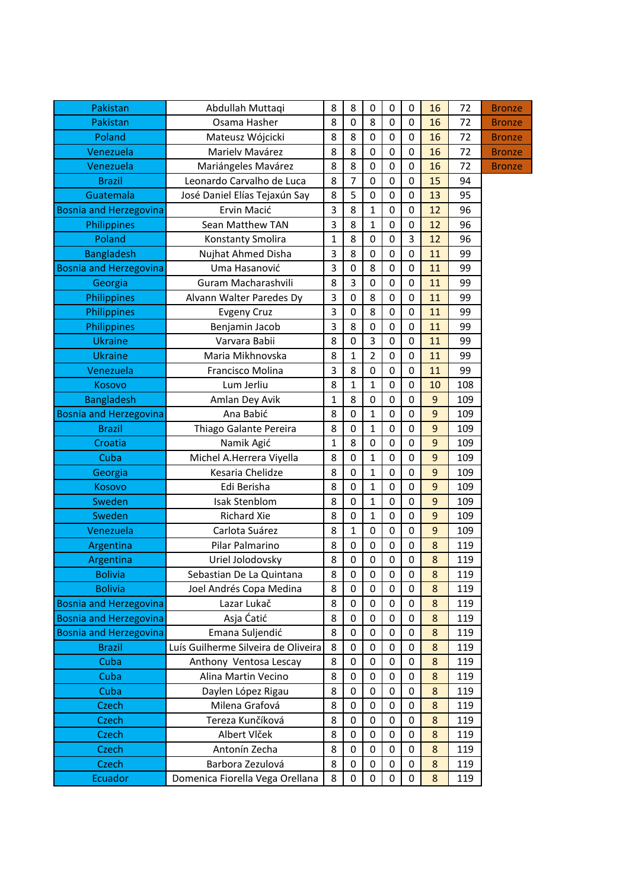| Pakistan                      | Abdullah Muttaqi                    | 8            | 8              | 0                | 0           | 0                | 16             | 72  | <b>Bronze</b> |
|-------------------------------|-------------------------------------|--------------|----------------|------------------|-------------|------------------|----------------|-----|---------------|
| Pakistan                      | Osama Hasher                        | 8            | $\mathbf 0$    | 8                | 0           | $\mathbf 0$      | 16             | 72  | <b>Bronze</b> |
| Poland                        | Mateusz Wójcicki                    | 8            | 8              | 0                | $\mathbf 0$ | $\mathbf 0$      | 16             | 72  | <b>Bronze</b> |
| Venezuela                     | Marielv Mavárez                     | 8            | 8              | 0                | $\mathbf 0$ | $\boldsymbol{0}$ | 16             | 72  | <b>Bronze</b> |
| Venezuela                     | Mariángeles Mavárez                 | 8            | 8              | 0                | $\mathbf 0$ | $\boldsymbol{0}$ | 16             | 72  | <b>Bronze</b> |
| <b>Brazil</b>                 | Leonardo Carvalho de Luca           | 8            | $\overline{7}$ | 0                | 0           | $\mathbf 0$      | 15             | 94  |               |
| Guatemala                     | José Daniel Elías Tejaxún Say       | 8            | 5              | $\mathbf 0$      | 0           | $\mathbf 0$      | 13             | 95  |               |
| <b>Bosnia and Herzegovina</b> | Ervin Macić                         | 3            | 8              | $\mathbf{1}$     | $\mathbf 0$ | $\mathbf 0$      | 12             | 96  |               |
| Philippines                   | Sean Matthew TAN                    | 3            | 8              | $\mathbf{1}$     | 0           | $\mathbf 0$      | 12             | 96  |               |
| Poland                        | Konstanty Smolira                   | $\mathbf{1}$ | 8              | 0                | $\mathbf 0$ | 3                | 12             | 96  |               |
| <b>Bangladesh</b>             | Nujhat Ahmed Disha                  | 3            | 8              | $\mathbf 0$      | $\mathbf 0$ | $\boldsymbol{0}$ | 11             | 99  |               |
| <b>Bosnia and Herzegovina</b> | Uma Hasanović                       | 3            | $\mathbf 0$    | 8                | 0           | $\boldsymbol{0}$ | 11             | 99  |               |
| Georgia                       | Guram Macharashvili                 | 8            | 3              | 0                | 0           | $\mathbf 0$      | 11             | 99  |               |
| Philippines                   | Alvann Walter Paredes Dy            | 3            | $\mathbf 0$    | 8                | $\mathbf 0$ | $\mathbf 0$      | 11             | 99  |               |
| Philippines                   | <b>Evgeny Cruz</b>                  | 3            | $\mathbf 0$    | 8                | $\mathbf 0$ | $\mathbf 0$      | 11             | 99  |               |
| Philippines                   | Benjamin Jacob                      | 3            | 8              | 0                | $\mathbf 0$ | $\boldsymbol{0}$ | 11             | 99  |               |
| <b>Ukraine</b>                | Varvara Babii                       | 8            | $\mathbf 0$    | 3                | 0           | 0                | 11             | 99  |               |
| <b>Ukraine</b>                | Maria Mikhnovska                    | 8            | $\mathbf{1}$   | $\overline{2}$   | $\mathbf 0$ | $\mathbf 0$      | 11             | 99  |               |
| Venezuela                     | Francisco Molina                    | 3            | 8              | 0                | 0           | $\mathbf 0$      | 11             | 99  |               |
| Kosovo                        | Lum Jerliu                          | 8            | $\mathbf{1}$   | $\mathbf{1}$     | 0           | 0                | 10             | 108 |               |
| <b>Bangladesh</b>             | Amlan Dey Avik                      | 1            | 8              | $\boldsymbol{0}$ | $\mathbf 0$ | $\mathbf 0$      | $\overline{9}$ | 109 |               |
| <b>Bosnia and Herzegovina</b> | Ana Babić                           | 8            | $\mathbf 0$    | $\mathbf{1}$     | 0           | $\boldsymbol{0}$ | 9              | 109 |               |
| <b>Brazil</b>                 | Thiago Galante Pereira              | 8            | 0              | $\mathbf{1}$     | 0           | $\boldsymbol{0}$ | 9              | 109 |               |
| Croatia                       | Namik Agić                          | $\mathbf{1}$ | 8              | 0                | 0           | $\mathbf 0$      | 9              | 109 |               |
| Cuba                          | Michel A.Herrera Viyella            | 8            | $\mathbf 0$    | $\mathbf{1}$     | 0           | $\mathbf 0$      | 9              | 109 |               |
| Georgia                       | Kesaria Chelidze                    | 8            | 0              | $\mathbf{1}$     | 0           | 0                | 9              | 109 |               |
| Kosovo                        | Edi Berisha                         | 8            | $\mathbf 0$    | $\mathbf{1}$     | 0           | $\mathbf 0$      | 9              | 109 |               |
| Sweden                        | Isak Stenblom                       | 8            | $\mathbf 0$    | $\mathbf{1}$     | $\mathbf 0$ | $\mathbf 0$      | 9              | 109 |               |
| Sweden                        | <b>Richard Xie</b>                  | 8            | $\mathbf 0$    | $\mathbf{1}$     | 0           | $\mathbf 0$      | 9              | 109 |               |
| Venezuela                     | Carlota Suárez                      | 8            | $\mathbf{1}$   | 0                | 0           | $\boldsymbol{0}$ | 9              | 109 |               |
| Argentina                     | Pilar Palmarino                     | 8            | 0              | $\boldsymbol{0}$ | $\mathbf 0$ | $\boldsymbol{0}$ | 8              | 119 |               |
| Argentina                     | Uriel Jolodovsky                    | 8            | 0              | $\boldsymbol{0}$ | 0           | $\boldsymbol{0}$ | 8              | 119 |               |
| <b>Bolivia</b>                | Sebastian De La Quintana            | 8            | 0              | 0                | 0           | 0                | 8              | 119 |               |
| <b>Bolivia</b>                | Joel Andrés Copa Medina             | 8            | $\mathbf 0$    | $\mathbf 0$      | $\mathbf 0$ | $\mathbf 0$      | 8              | 119 |               |
| <b>Bosnia and Herzegovina</b> | Lazar Lukač                         | 8            | 0              | 0                | 0           | 0                | 8              | 119 |               |
| <b>Bosnia and Herzegovina</b> | Asja Ćatić                          | 8            | 0              | 0                | 0           | 0                | 8              | 119 |               |
| <b>Bosnia and Herzegovina</b> | Emana Suljendić                     | 8            | 0              | 0                | 0           | 0                | $\bf 8$        | 119 |               |
| <b>Brazil</b>                 | Luís Guilherme Silveira de Oliveira | 8            | 0              | $\boldsymbol{0}$ | 0           | $\boldsymbol{0}$ | 8              | 119 |               |
| Cuba                          | Anthony Ventosa Lescay              | 8            | 0              | 0                | 0           | 0                | 8              | 119 |               |
| Cuba                          | Alina Martin Vecino                 | 8            | 0              | 0                | 0           | 0                | $\bf 8$        | 119 |               |
| Cuba                          | Daylen López Rigau                  | 8            | $\mathbf 0$    | $\boldsymbol{0}$ | 0           | 0                | 8              | 119 |               |
| <b>Czech</b>                  | Milena Grafová                      | 8            | 0              | 0                | 0           | 0                | $\bf 8$        | 119 |               |
| <b>Czech</b>                  | Tereza Kunčíková                    | 8            | 0              | 0                | 0           | 0                | 8              | 119 |               |
| <b>Czech</b>                  | Albert Vlček                        | 8            | $\mathbf 0$    | $\boldsymbol{0}$ | $\mathbf 0$ | 0                | 8              | 119 |               |
| Czech                         | Antonín Zecha                       | 8            | 0              | 0                | 0           | 0                | 8              | 119 |               |
| Czech                         | Barbora Zezulová                    | 8            | 0              | 0                | 0           | 0                | 8              | 119 |               |
| Ecuador                       | Domenica Fiorella Vega Orellana     | 8            | 0              | 0                | 0           | 0                | 8              | 119 |               |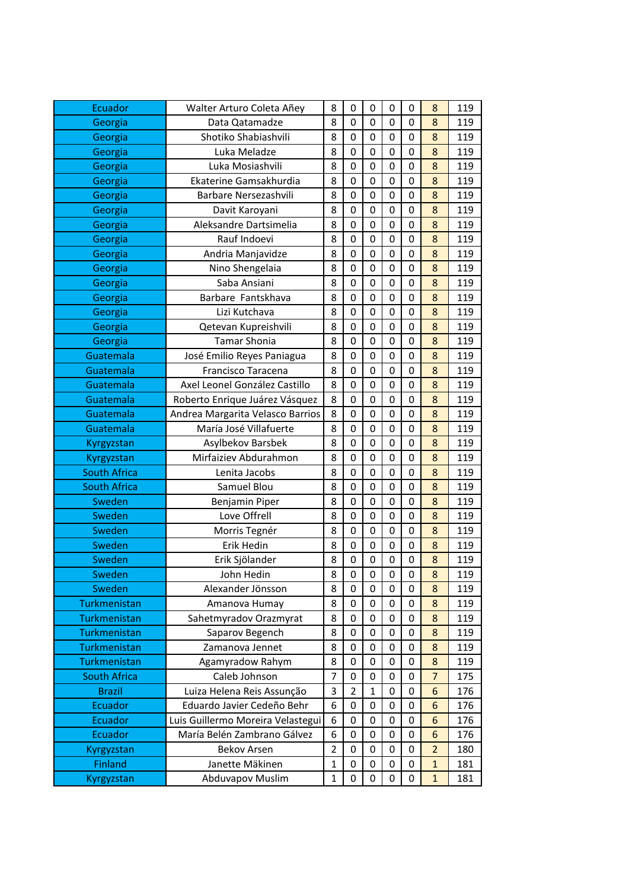| Ecuador             | Walter Arturo Coleta Añey         | 8              | 0                | 0                | 0                | 0                | 8               | 119 |
|---------------------|-----------------------------------|----------------|------------------|------------------|------------------|------------------|-----------------|-----|
| Georgia             | Data Qatamadze                    | 8              | $\mathbf 0$      | $\mathbf 0$      | $\overline{0}$   | $\mathbf 0$      | 8               | 119 |
| Georgia             | Shotiko Shabiashvili              | 8              | $\boldsymbol{0}$ | 0                | 0                | 0                | 8               | 119 |
| Georgia             | Luka Meladze                      | 8              | $\boldsymbol{0}$ | $\mathbf 0$      | 0                | 0                | 8               | 119 |
| Georgia             | Luka Mosiashvili                  | 8              | $\mathbf 0$      | $\mathbf 0$      | 0                | 0                | 8               | 119 |
| Georgia             | Ekaterine Gamsakhurdia            | 8              | $\mathbf 0$      | 0                | 0                | 0                | 8               | 119 |
| Georgia             | Barbare Nersezashvili             | 8              | $\mathbf 0$      | $\mathbf 0$      | $\mathbf 0$      | 0                | 8               | 119 |
| Georgia             | Davit Karoyani                    | 8              | $\mathbf 0$      | $\mathbf 0$      | $\mathbf 0$      | 0                | 8               | 119 |
| Georgia             | Aleksandre Dartsimelia            | 8              | $\boldsymbol{0}$ | 0                | $\mathbf 0$      | 0                | 8               | 119 |
| Georgia             | Rauf Indoevi                      | 8              | 0                | 0                | 0                | $\mathbf 0$      | 8               | 119 |
| Georgia             | Andria Manjavidze                 | 8              | $\boldsymbol{0}$ | $\boldsymbol{0}$ | $\mathbf 0$      | 0                | 8               | 119 |
| Georgia             | Nino Shengelaia                   | 8              | $\mathbf 0$      | $\mathbf 0$      | $\mathbf 0$      | $\mathbf 0$      | 8               | 119 |
| Georgia             | Saba Ansiani                      | 8              | $\mathbf 0$      | 0                | 0                | 0                | 8               | 119 |
| Georgia             | Barbare Fantskhava                | 8              | $\boldsymbol{0}$ | 0                | 0                | 0                | 8               | 119 |
| Georgia             | Lizi Kutchava                     | 8              | $\mathbf 0$      | 0                | $\mathbf 0$      | 0                | 8               | 119 |
| Georgia             | Qetevan Kupreishvili              | 8              | $\mathbf 0$      | 0                | 0                | 0                | 8               | 119 |
| Georgia             | <b>Tamar Shonia</b>               | 8              | $\mathbf 0$      | $\mathbf 0$      | 0                | $\mathbf 0$      | 8               | 119 |
| Guatemala           | José Emilio Reyes Paniagua        | 8              | $\mathbf 0$      | $\mathbf 0$      | $\mathbf 0$      | 0                | 8               | 119 |
| Guatemala           | Francisco Taracena                | 8              | $\boldsymbol{0}$ | 0                | $\mathbf 0$      | $\mathbf 0$      | 8               | 119 |
| Guatemala           | Axel Leonel González Castillo     | 8              | $\mathbf 0$      | 0                | 0                | 0                | 8               | 119 |
| Guatemala           | Roberto Enrique Juárez Vásquez    | 8              | $\mathbf 0$      | 0                | $\mathbf 0$      | 0                | 8               | 119 |
| Guatemala           | Andrea Margarita Velasco Barrios  | 8              | $\mathbf 0$      | $\mathbf 0$      | $\mathbf 0$      | $\mathbf 0$      | 8               | 119 |
| Guatemala           | María José Villafuerte            | 8              | $\mathbf 0$      | 0                | 0                | 0                | 8               | 119 |
| Kyrgyzstan          | Asylbekov Barsbek                 | 8              | $\boldsymbol{0}$ | $\mathbf 0$      | 0                | 0                | 8               | 119 |
| Kyrgyzstan          | Mirfaiziev Abdurahmon             | 8              | $\mathbf 0$      | $\mathbf 0$      | $\mathbf 0$      | 0                | 8               | 119 |
| <b>South Africa</b> | Lenita Jacobs                     | 8              | $\boldsymbol{0}$ | 0                | 0                | 0                | 8               | 119 |
| <b>South Africa</b> | Samuel Blou                       | 8              | $\mathbf 0$      | 0                | 0                | 0                | 8               | 119 |
| Sweden              | Benjamin Piper                    | 8              | $\mathbf 0$      | $\mathbf 0$      | $\mathbf 0$      | 0                | 8               | 119 |
| Sweden              | Love Offrell                      | 8              | $\mathbf 0$      | 0                | $\mathbf 0$      | 0                | 8               | 119 |
| Sweden              | Morris Tegnér                     | 8              | 0                | 0                | 0                | $\mathbf 0$      | 8               | 119 |
| Sweden              | Erik Hedin                        | 8              | $\boldsymbol{0}$ | 0                | $\mathbf 0$      | 0                | 8               | 119 |
| Sweden              | Erik Sjölander                    | 8              | $\mathbf 0$      | $\boldsymbol{0}$ | $\boldsymbol{0}$ | $\boldsymbol{0}$ | 8               | 119 |
| Sweden              | John Hedin                        | 8              | 0                | 0                | 0                | 0                | 8               | 119 |
| Sweden              | Alexander Jönsson                 | 8              | 0                | 0                | 0                | 0                | 8               | 119 |
| Turkmenistan        | Amanova Humay                     | 8              | $\mathbf 0$      | 0                | $\mathbf 0$      | 0                | 8               | 119 |
| Turkmenistan        | Sahetmyradov Orazmyrat            | 8              | $\boldsymbol{0}$ | 0                | 0                | 0                | 8               | 119 |
| Turkmenistan        | Saparov Begench                   | 8              | 0                | 0                | 0                | 0                | 8               | 119 |
| Turkmenistan        | Zamanova Jennet                   | 8              | $\mathbf 0$      | 0                | 0                | 0                | 8               | 119 |
| Turkmenistan        | Agamyradow Rahym                  | 8              | $\boldsymbol{0}$ | 0                | 0                | 0                | 8               | 119 |
| <b>South Africa</b> | Caleb Johnson                     | 7              | $\mathbf 0$      | 0                | 0                | 0                | $\overline{7}$  | 175 |
| <b>Brazil</b>       | Luiza Helena Reis Assunção        | 3              | $\overline{2}$   | $\mathbf 1$      | 0                | 0                | $6\phantom{1}6$ | 176 |
| Ecuador             | Eduardo Javier Cedeño Behr        | 6              | $\boldsymbol{0}$ | 0                | 0                | 0                | 6               | 176 |
| Ecuador             | Luis Guillermo Moreira Velastegui | 6              | 0                | 0                | 0                | 0                | 6               | 176 |
| Ecuador             | María Belén Zambrano Gálvez       | 6              | $\boldsymbol{0}$ | 0                | 0                | 0                | $6\phantom{1}6$ | 176 |
| Kyrgyzstan          | <b>Bekov Arsen</b>                | $\overline{2}$ | $\mathbf 0$      | 0                | $\mathbf 0$      | 0                | $\overline{2}$  | 180 |
| <b>Finland</b>      | Janette Mäkinen                   | $\mathbf{1}$   | $\boldsymbol{0}$ | 0                | 0                | 0                | $\mathbf{1}$    | 181 |
| Kyrgyzstan          | <b>Abduvapov Muslim</b>           | 1              | 0                | 0                | 0                | 0                | $\mathbf{1}$    | 181 |